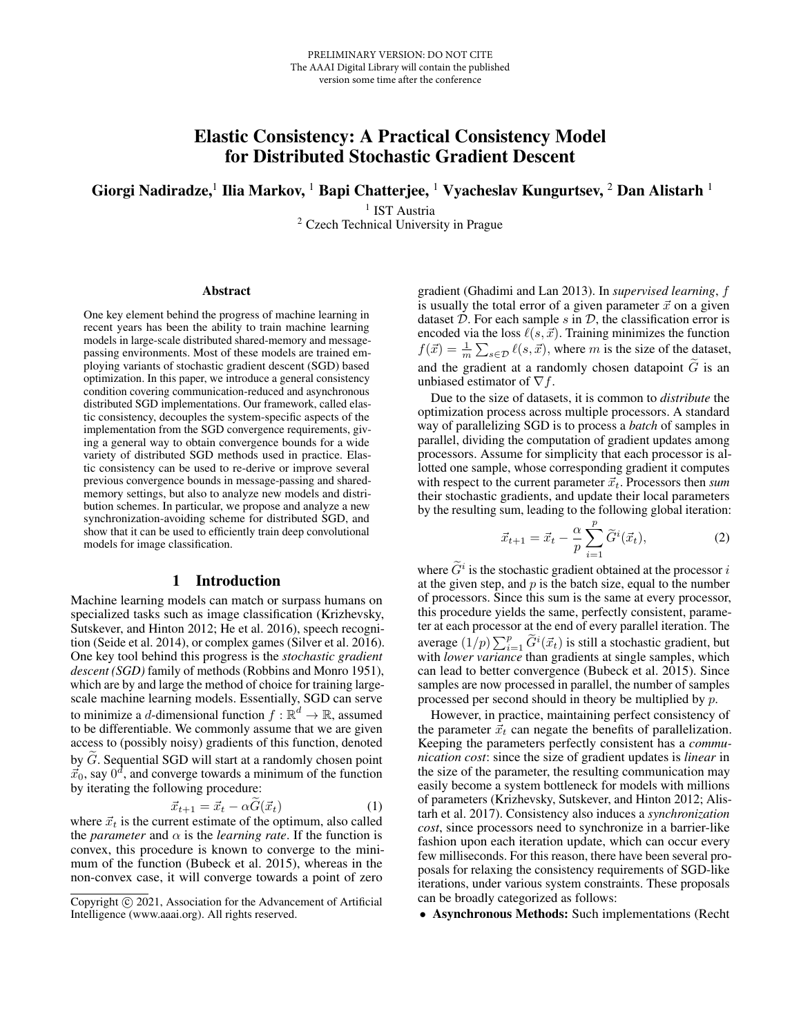# Elastic Consistency: A Practical Consistency Model for Distributed Stochastic Gradient Descent

Giorgi Nadiradze, $^1$  Ilia Markov,  $^1$  Bapi Chatterjee,  $^1$  Vyacheslav Kungurtsev,  $^2$  Dan Alistarh  $^1$ 

<sup>1</sup> IST Austria

<sup>2</sup> Czech Technical University in Prague

#### Abstract

One key element behind the progress of machine learning in recent years has been the ability to train machine learning models in large-scale distributed shared-memory and messagepassing environments. Most of these models are trained employing variants of stochastic gradient descent (SGD) based optimization. In this paper, we introduce a general consistency condition covering communication-reduced and asynchronous distributed SGD implementations. Our framework, called elastic consistency, decouples the system-specific aspects of the implementation from the SGD convergence requirements, giving a general way to obtain convergence bounds for a wide variety of distributed SGD methods used in practice. Elastic consistency can be used to re-derive or improve several previous convergence bounds in message-passing and sharedmemory settings, but also to analyze new models and distribution schemes. In particular, we propose and analyze a new synchronization-avoiding scheme for distributed SGD, and show that it can be used to efficiently train deep convolutional models for image classification.

### 1 Introduction

Machine learning models can match or surpass humans on specialized tasks such as image classification (Krizhevsky, Sutskever, and Hinton 2012; He et al. 2016), speech recognition (Seide et al. 2014), or complex games (Silver et al. 2016). One key tool behind this progress is the *stochastic gradient descent (SGD)* family of methods (Robbins and Monro 1951), which are by and large the method of choice for training largescale machine learning models. Essentially, SGD can serve to minimize a d-dimensional function  $f : \mathbb{R}^d \to \mathbb{R}$ , assumed to be differentiable. We commonly assume that we are given access to (possibly noisy) gradients of this function, denoted by  $G$ . Sequential SGD will start at a randomly chosen point  $\vec{x}_0$ , say  $0^d$ , and converge towards a minimum of the function by iterating the following procedure:

$$
\vec{x}_{t+1} = \vec{x}_t - \alpha \tilde{G}(\vec{x}_t) \tag{1}
$$

 $\vec{x}_{t+1} = \vec{x}_t - \alpha G(\vec{x}_t)$  (1)<br>where  $\vec{x}_t$  is the current estimate of the optimum, also called the *parameter* and  $\alpha$  is the *learning rate*. If the function is convex, this procedure is known to converge to the minimum of the function (Bubeck et al. 2015), whereas in the non-convex case, it will converge towards a point of zero

gradient (Ghadimi and Lan 2013). In *supervised learning*, f is usually the total error of a given parameter  $\vec{x}$  on a given dataset  $D$ . For each sample  $s$  in  $D$ , the classification error is encoded via the loss  $\ell(s, \vec{x})$ . Training minimizes the function  $f(\vec{x}) = \frac{1}{m} \sum_{s \in \mathcal{D}} \ell(s, \vec{x})$ , where m is the size of the dataset, and the gradient at a randomly chosen datapoint  $\tilde{G}$  is an unbiased estimator of  $\nabla f$ .

Due to the size of datasets, it is common to *distribute* the optimization process across multiple processors. A standard way of parallelizing SGD is to process a *batch* of samples in parallel, dividing the computation of gradient updates among processors. Assume for simplicity that each processor is allotted one sample, whose corresponding gradient it computes with respect to the current parameter  $\vec{x}_t$ . Processors then *sum* their stochastic gradients, and update their local parameters by the resulting sum, leading to the following global iteration:

$$
\vec{x}_{t+1} = \vec{x}_t - \frac{\alpha}{p} \sum_{i=1}^p \widetilde{G}^i(\vec{x}_t), \tag{2}
$$

where  $\tilde{G}^i$  is the stochastic gradient obtained at the processor is at the given step, and  $p$  is the batch size, equal to the number of processors. Since this sum is the same at every processor, this procedure yields the same, perfectly consistent, parameter at each processor at the end of every parallel iteration. The average  $(1/p)\sum_{i=1}^p \widetilde{G}^i(\vec{x}_t)$  is still a stochastic gradient, but with *lower variance* than gradients at single samples, which can lead to better convergence (Bubeck et al. 2015). Since samples are now processed in parallel, the number of samples processed per second should in theory be multiplied by p.

However, in practice, maintaining perfect consistency of the parameter  $\vec{x}_t$  can negate the benefits of parallelization. Keeping the parameters perfectly consistent has a *communication cost*: since the size of gradient updates is *linear* in the size of the parameter, the resulting communication may easily become a system bottleneck for models with millions of parameters (Krizhevsky, Sutskever, and Hinton 2012; Alistarh et al. 2017). Consistency also induces a *synchronization cost*, since processors need to synchronize in a barrier-like fashion upon each iteration update, which can occur every few milliseconds. For this reason, there have been several proposals for relaxing the consistency requirements of SGD-like iterations, under various system constraints. These proposals can be broadly categorized as follows:

• Asynchronous Methods: Such implementations (Recht

Copyright (c) 2021, Association for the Advancement of Artificial Intelligence (www.aaai.org). All rights reserved.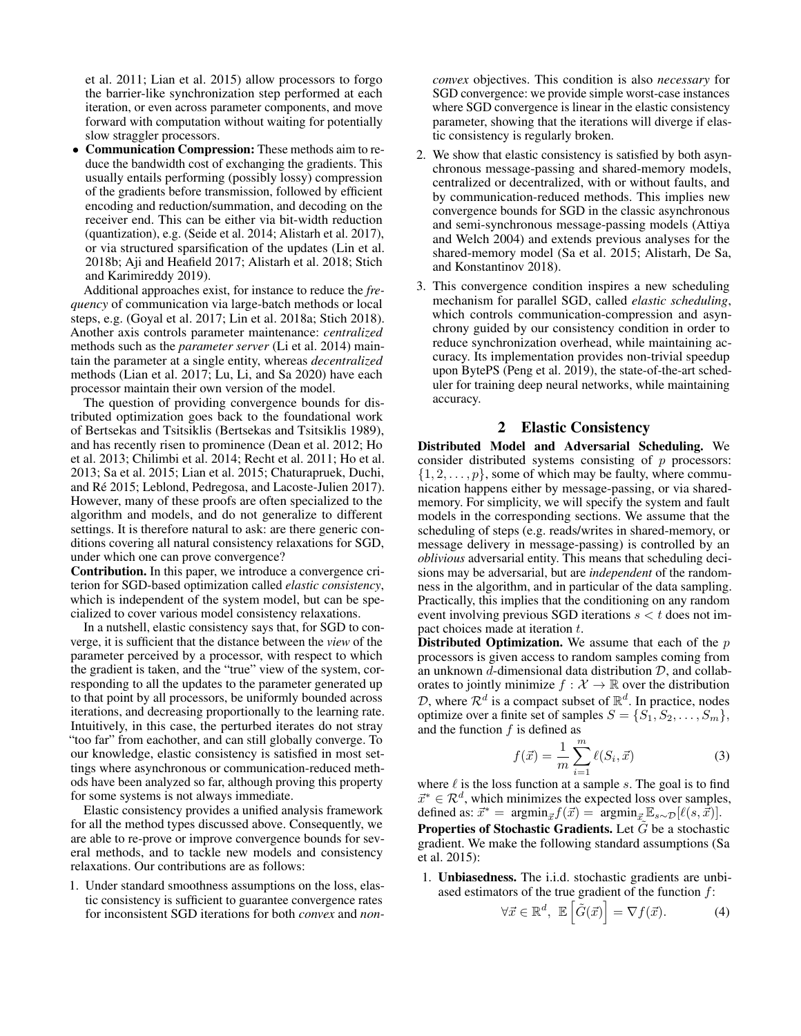et al. 2011; Lian et al. 2015) allow processors to forgo the barrier-like synchronization step performed at each iteration, or even across parameter components, and move forward with computation without waiting for potentially slow straggler processors.

• Communication Compression: These methods aim to reduce the bandwidth cost of exchanging the gradients. This usually entails performing (possibly lossy) compression of the gradients before transmission, followed by efficient encoding and reduction/summation, and decoding on the receiver end. This can be either via bit-width reduction (quantization), e.g. (Seide et al. 2014; Alistarh et al. 2017), or via structured sparsification of the updates (Lin et al. 2018b; Aji and Heafield 2017; Alistarh et al. 2018; Stich and Karimireddy 2019).

Additional approaches exist, for instance to reduce the *frequency* of communication via large-batch methods or local steps, e.g. (Goyal et al. 2017; Lin et al. 2018a; Stich 2018). Another axis controls parameter maintenance: *centralized* methods such as the *parameter server* (Li et al. 2014) maintain the parameter at a single entity, whereas *decentralized* methods (Lian et al. 2017; Lu, Li, and Sa 2020) have each processor maintain their own version of the model.

The question of providing convergence bounds for distributed optimization goes back to the foundational work of Bertsekas and Tsitsiklis (Bertsekas and Tsitsiklis 1989), and has recently risen to prominence (Dean et al. 2012; Ho et al. 2013; Chilimbi et al. 2014; Recht et al. 2011; Ho et al. 2013; Sa et al. 2015; Lian et al. 2015; Chaturapruek, Duchi, and Ré 2015; Leblond, Pedregosa, and Lacoste-Julien 2017). However, many of these proofs are often specialized to the algorithm and models, and do not generalize to different settings. It is therefore natural to ask: are there generic conditions covering all natural consistency relaxations for SGD, under which one can prove convergence?

Contribution. In this paper, we introduce a convergence criterion for SGD-based optimization called *elastic consistency*, which is independent of the system model, but can be specialized to cover various model consistency relaxations.

In a nutshell, elastic consistency says that, for SGD to converge, it is sufficient that the distance between the *view* of the parameter perceived by a processor, with respect to which the gradient is taken, and the "true" view of the system, corresponding to all the updates to the parameter generated up to that point by all processors, be uniformly bounded across iterations, and decreasing proportionally to the learning rate. Intuitively, in this case, the perturbed iterates do not stray "too far" from eachother, and can still globally converge. To our knowledge, elastic consistency is satisfied in most settings where asynchronous or communication-reduced methods have been analyzed so far, although proving this property for some systems is not always immediate.

Elastic consistency provides a unified analysis framework for all the method types discussed above. Consequently, we are able to re-prove or improve convergence bounds for several methods, and to tackle new models and consistency relaxations. Our contributions are as follows:

1. Under standard smoothness assumptions on the loss, elastic consistency is sufficient to guarantee convergence rates for inconsistent SGD iterations for both *convex* and *non-* *convex* objectives. This condition is also *necessary* for SGD convergence: we provide simple worst-case instances where SGD convergence is linear in the elastic consistency parameter, showing that the iterations will diverge if elastic consistency is regularly broken.

- 2. We show that elastic consistency is satisfied by both asynchronous message-passing and shared-memory models, centralized or decentralized, with or without faults, and by communication-reduced methods. This implies new convergence bounds for SGD in the classic asynchronous and semi-synchronous message-passing models (Attiya and Welch 2004) and extends previous analyses for the shared-memory model (Sa et al. 2015; Alistarh, De Sa, and Konstantinov 2018).
- 3. This convergence condition inspires a new scheduling mechanism for parallel SGD, called *elastic scheduling*, which controls communication-compression and asynchrony guided by our consistency condition in order to reduce synchronization overhead, while maintaining accuracy. Its implementation provides non-trivial speedup upon BytePS (Peng et al. 2019), the state-of-the-art scheduler for training deep neural networks, while maintaining accuracy.

# 2 Elastic Consistency

Distributed Model and Adversarial Scheduling. We consider distributed systems consisting of  $p$  processors:  $\{1, 2, \ldots, p\}$ , some of which may be faulty, where communication happens either by message-passing, or via sharedmemory. For simplicity, we will specify the system and fault models in the corresponding sections. We assume that the scheduling of steps (e.g. reads/writes in shared-memory, or message delivery in message-passing) is controlled by an *oblivious* adversarial entity. This means that scheduling decisions may be adversarial, but are *independent* of the randomness in the algorithm, and in particular of the data sampling. Practically, this implies that the conditioning on any random event involving previous SGD iterations  $s < t$  does not impact choices made at iteration t.

**Distributed Optimization.** We assume that each of the  $p$ processors is given access to random samples coming from an unknown  $d$ -dimensional data distribution  $D$ , and collaborates to jointly minimize  $f : \mathcal{X} \to \mathbb{R}$  over the distribution D, where  $\mathcal{R}^d$  is a compact subset of  $\mathbb{R}^d$ . In practice, nodes optimize over a finite set of samples  $S = \{S_1, S_2, \ldots, S_m\},\$ and the function  $f$  is defined as

$$
f(\vec{x}) = \frac{1}{m} \sum_{i=1}^{m} \ell(S_i, \vec{x})
$$
 (3)

where  $\ell$  is the loss function at a sample s. The goal is to find  $\vec{x}^* \in \mathcal{R}^d$ , which minimizes the expected loss over samples, defined as:  $\vec{x}^* = \operatorname{argmin}_{\vec{x}} f(\vec{x}) = \operatorname{argmin}_{\vec{x}} \mathbb{E}_{s \sim \mathcal{D}} [\ell(s, \vec{x})].$ **Properties of Stochastic Gradients.** Let  $\tilde{G}$  be a stochastic gradient. We make the following standard assumptions (Sa et al. 2015):

1. Unbiasedness. The i.i.d. stochastic gradients are unbiased estimators of the true gradient of the function  $f$ :

$$
\forall \vec{x} \in \mathbb{R}^d, \ \mathbb{E}\left[\tilde{G}(\vec{x})\right] = \nabla f(\vec{x}).\tag{4}
$$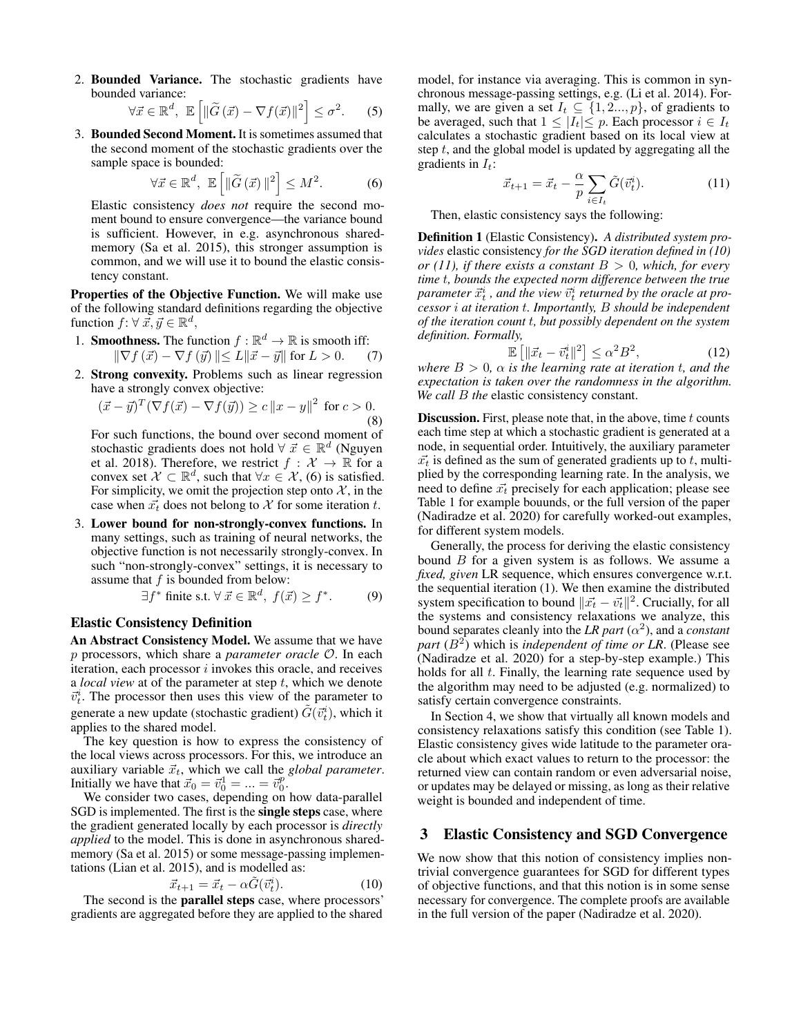2. Bounded Variance. The stochastic gradients have bounded variance:

$$
\forall \vec{x} \in \mathbb{R}^d, \ \mathbb{E}\left[\|\widetilde{G}\left(\vec{x}\right) - \nabla f(\vec{x})\|^2\right] \leq \sigma^2. \tag{5}
$$

3. Bounded Second Moment. It is sometimes assumed that the second moment of the stochastic gradients over the sample space is bounded:

$$
\forall \vec{x} \in \mathbb{R}^d, \ \mathbb{E}\left[\|\tilde{G}\left(\vec{x}\right)\|^2\right] \le M^2. \tag{6}
$$

Elastic consistency *does not* require the second moment bound to ensure convergence—the variance bound is sufficient. However, in e.g. asynchronous sharedmemory (Sa et al. 2015), this stronger assumption is common, and we will use it to bound the elastic consistency constant.

Properties of the Objective Function. We will make use of the following standard definitions regarding the objective function  $f: \forall \vec{x}, \vec{y} \in \mathbb{R}^d$ ,

- 1. **Smoothness.** The function  $f : \mathbb{R}^d \to \mathbb{R}$  is smooth iff:  $\|\nabla f(\vec{x}) - \nabla f(\vec{y})\| \le L \|\vec{x} - \vec{y}\|$  for  $L > 0$ . (7)
- 2. Strong convexity. Problems such as linear regression have a strongly convex objective:

$$
(\vec{x} - \vec{y})^T (\nabla f(\vec{x}) - \nabla f(\vec{y})) \ge c ||x - y||^2 \text{ for } c > 0.
$$
\n(8)

For such functions, the bound over second moment of stochastic gradients does not hold  $\forall \vec{x} \in \mathbb{R}^d$  (Nguyen et al. 2018). Therefore, we restrict  $f : \mathcal{X} \to \mathbb{R}$  for a convex set  $\mathcal{X} \subset \mathbb{R}^d$ , such that  $\forall x \in \mathcal{X}$ , (6) is satisfied. For simplicity, we omit the projection step onto  $X$ , in the case when  $\vec{x_t}$  does not belong to X for some iteration t.

3. Lower bound for non-strongly-convex functions. In many settings, such as training of neural networks, the objective function is not necessarily strongly-convex. In such "non-strongly-convex" settings, it is necessary to assume that  $f$  is bounded from below:

$$
\exists f^* \text{ finite s.t. } \forall \vec{x} \in \mathbb{R}^d, \ f(\vec{x}) \ge f^*.
$$
 (9)

### Elastic Consistency Definition

An Abstract Consistency Model. We assume that we have p processors, which share a *parameter oracle* O. In each iteration, each processor  $i$  invokes this oracle, and receives a *local view* at of the parameter at step t, which we denote  $\vec{v}_t^i$ . The processor then uses this view of the parameter to generate a new update (stochastic gradient)  $\tilde{G}(\vec{v}_t^i)$ , which it applies to the shared model.

The key question is how to express the consistency of the local views across processors. For this, we introduce an auxiliary variable  $\vec{x}_t$ , which we call the *global parameter*. Initially we have that  $\vec{x}_0 = \vec{v}_0^1 = ... = \vec{v}_0^p$ .

We consider two cases, depending on how data-parallel SGD is implemented. The first is the single steps case, where the gradient generated locally by each processor is *directly applied* to the model. This is done in asynchronous sharedmemory (Sa et al. 2015) or some message-passing implementations (Lian et al. 2015), and is modelled as:

$$
\vec{x}_{t+1} = \vec{x}_t - \alpha \tilde{G}(\vec{v}_t^i). \tag{10}
$$

The second is the parallel steps case, where processors' gradients are aggregated before they are applied to the shared

model, for instance via averaging. This is common in synchronous message-passing settings, e.g. (Li et al. 2014). Formally, we are given a set  $I_t \subseteq \{1, 2..., p\}$ , of gradients to be averaged, such that  $1 \leq |I_t| \leq p$ . Each processor  $i \in I_t$ calculates a stochastic gradient based on its local view at step  $t$ , and the global model is updated by aggregating all the gradients in  $I_t$ :

$$
\vec{x}_{t+1} = \vec{x}_t - \frac{\alpha}{p} \sum_{i \in I_t} \tilde{G}(\vec{v}_t^i).
$$
 (11)

Then, elastic consistency says the following:

Definition 1 (Elastic Consistency). *A distributed system provides* elastic consistency *for the SGD iteration defined in (10) or (11), if there exists a constant*  $B > 0$ *, which, for every time* t*, bounds the expected norm difference between the true*  $p$ arameter  $\vec{x}_t^i$  , and the view  $\vec{v}_t^i$  returned by the oracle at pro*cessor* i *at iteration* t*. Importantly,* B *should be independent of the iteration count* t*, but possibly dependent on the system definition. Formally,*

$$
\mathbb{E}\left[\|\vec{x}_t - \vec{v}_t^i\|^2\right] \le \alpha^2 B^2,\tag{12}
$$

*where*  $B > 0$ ,  $\alpha$  *is the learning rate at iteration t, and the expectation is taken over the randomness in the algorithm. We call* B *the* elastic consistency constant.

**Discussion.** First, please note that, in the above, time  $t$  counts each time step at which a stochastic gradient is generated at a node, in sequential order. Intuitively, the auxiliary parameter  $\vec{x_t}$  is defined as the sum of generated gradients up to t, multiplied by the corresponding learning rate. In the analysis, we need to define  $\vec{x_t}$  precisely for each application; please see Table 1 for example bouunds, or the full version of the paper (Nadiradze et al. 2020) for carefully worked-out examples, for different system models.

Generally, the process for deriving the elastic consistency bound  $B$  for a given system is as follows. We assume a *fixed, given* LR sequence, which ensures convergence w.r.t. the sequential iteration (1). We then examine the distributed system specification to bound  $||\vec{x_t} - \vec{v_t}||^2$ . Crucially, for all the systems and consistency relaxations we analyze, this bound separates cleanly into the *LR part*  $(\alpha^2)$ , and a *constant* part  $(B<sup>2</sup>)$  which is *independent of time or LR*. (Please see (Nadiradze et al. 2020) for a step-by-step example.) This holds for all  $t$ . Finally, the learning rate sequence used by the algorithm may need to be adjusted (e.g. normalized) to satisfy certain convergence constraints.

In Section 4, we show that virtually all known models and consistency relaxations satisfy this condition (see Table 1). Elastic consistency gives wide latitude to the parameter oracle about which exact values to return to the processor: the returned view can contain random or even adversarial noise, or updates may be delayed or missing, as long as their relative weight is bounded and independent of time.

# 3 Elastic Consistency and SGD Convergence

We now show that this notion of consistency implies nontrivial convergence guarantees for SGD for different types of objective functions, and that this notion is in some sense necessary for convergence. The complete proofs are available in the full version of the paper (Nadiradze et al. 2020).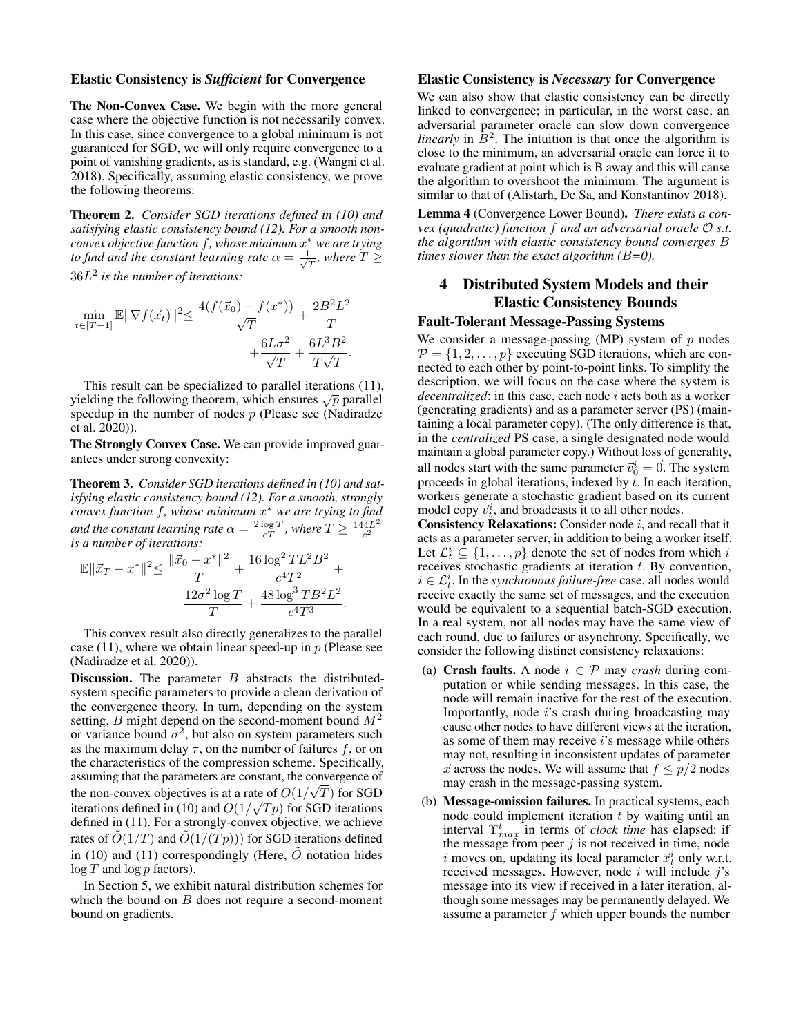### Elastic Consistency is *Sufficient* for Convergence

The Non-Convex Case. We begin with the more general case where the objective function is not necessarily convex. In this case, since convergence to a global minimum is not guaranteed for SGD, we will only require convergence to a point of vanishing gradients, as is standard, e.g. (Wangni et al. 2018). Specifically, assuming elastic consistency, we prove the following theorems:

Theorem 2. *Consider SGD iterations defined in (10) and satisfying elastic consistency bound (12). For a smooth nonconvex objective function* f*, whose minimum* x <sup>∗</sup> *we are trying to find and the constant learning rate*  $\alpha = \frac{1}{\sqrt{2}}$  $\frac{1}{T}$ , where  $T \geq$ 36L 2 *is the number of iterations:*

$$
\min_{t \in [T-1]} \mathbb{E} \|\nabla f(\vec{x}_t)\|^2 \le \frac{4(f(\vec{x}_0) - f(x^*))}{\sqrt{T}} + \frac{2B^2L^2}{T} + \frac{6L\sigma^2}{\sqrt{T}} + \frac{6L^3B^2}{T\sqrt{T}}.
$$

This result can be specialized to parallel iterations (11), yielding the following theorem, which ensures  $\sqrt{p}$  parallel speedup in the number of nodes  $p$  (Please see (Nadiradze et al. 2020)).

The Strongly Convex Case. We can provide improved guarantees under strong convexity:

Theorem 3. *Consider SGD iterations defined in (10) and satisfying elastic consistency bound (12). For a smooth, strongly convex function* f*, whose minimum* x <sup>∗</sup> *we are trying to find and the constant learning rate*  $\alpha = \frac{2 \log T}{cT}$ , where  $T \ge \frac{144L^2}{c^2}$  $c^2$ *is a number of iterations:*

$$
\mathbb{E} \|\vec{x}_T - x^*\|^2 \le \frac{\|\vec{x}_0 - x^*\|^2}{T} + \frac{16 \log^2 TL^2 B^2}{c^4 T^2} + \frac{12 \sigma^2 \log T}{T} + \frac{48 \log^3 TB^2 L^2}{c^4 T^3}.
$$

This convex result also directly generalizes to the parallel case (11), where we obtain linear speed-up in  $p$  (Please see (Nadiradze et al. 2020)).

**Discussion.** The parameter  $B$  abstracts the distributedsystem specific parameters to provide a clean derivation of the convergence theory. In turn, depending on the system setting, B might depend on the second-moment bound  $M^2$ or variance bound  $\sigma^2$ , but also on system parameters such as the maximum delay  $\tau$ , on the number of failures f, or on the characteristics of the compression scheme. Specifically, assuming that the parameters are constant, the convergence of the non-convex objectives is at a rate of  $O(1/\sqrt{T})$  for SGD iterations defined in (10) and  $O(1/\sqrt{Tp})$  for SGD iterations defined in (11). For a strongly-convex objective, we achieve rates of  $O(1/T)$  and  $O(1/(Tp)))$  for SGD iterations defined in (10) and (11) correspondingly (Here,  $\tilde{O}$  notation hides  $\log T$  and  $\log p$  factors).

In Section 5, we exhibit natural distribution schemes for which the bound on  $B$  does not require a second-moment bound on gradients.

### Elastic Consistency is *Necessary* for Convergence

We can also show that elastic consistency can be directly linked to convergence; in particular, in the worst case, an adversarial parameter oracle can slow down convergence *linearly* in  $\bar{B}^2$ . The intuition is that once the algorithm is close to the minimum, an adversarial oracle can force it to evaluate gradient at point which is B away and this will cause the algorithm to overshoot the minimum. The argument is similar to that of (Alistarh, De Sa, and Konstantinov 2018).

Lemma 4 (Convergence Lower Bound). *There exists a convex (quadratic) function* f *and an adversarial oracle* O *s.t. the algorithm with elastic consistency bound converges* B *times slower than the exact algorithm (*B*=0).*

# 4 Distributed System Models and their Elastic Consistency Bounds

# Fault-Tolerant Message-Passing Systems

We consider a message-passing (MP) system of  $p$  nodes  $\mathcal{P} = \{1, 2, \dots, p\}$  executing SGD iterations, which are connected to each other by point-to-point links. To simplify the description, we will focus on the case where the system is *decentralized*: in this case, each node *i* acts both as a worker (generating gradients) and as a parameter server (PS) (maintaining a local parameter copy). (The only difference is that, in the *centralized* PS case, a single designated node would maintain a global parameter copy.) Without loss of generality, all nodes start with the same parameter  $\vec{v}_0^i = \vec{0}$ . The system proceeds in global iterations, indexed by  $t$ . In each iteration, workers generate a stochastic gradient based on its current model copy  $\vec{v}_t^i$ , and broadcasts it to all other nodes.

**Consistency Relaxations:** Consider node  $i$ , and recall that it acts as a parameter server, in addition to being a worker itself. Let  $\mathcal{L}_t^i \subseteq \{1, \ldots, p\}$  denote the set of nodes from which i receives stochastic gradients at iteration  $t$ . By convention,  $i \in \mathcal{L}_t^i$ . In the *synchronous failure-free* case, all nodes would receive exactly the same set of messages, and the execution would be equivalent to a sequential batch-SGD execution. In a real system, not all nodes may have the same view of each round, due to failures or asynchrony. Specifically, we consider the following distinct consistency relaxations:

- (a) **Crash faults.** A node  $i \in \mathcal{P}$  may *crash* during computation or while sending messages. In this case, the node will remain inactive for the rest of the execution. Importantly, node i's crash during broadcasting may cause other nodes to have different views at the iteration, as some of them may receive  $i$ 's message while others may not, resulting in inconsistent updates of parameter  $\vec{x}$  across the nodes. We will assume that  $f \leq p/2$  nodes may crash in the message-passing system.
- (b) Message-omission failures. In practical systems, each node could implement iteration  $t$  by waiting until an interval  $\Upsilon_{max}^t$  in terms of *clock time* has elapsed: if the message from peer  $j$  is not received in time, node i moves on, updating its local parameter  $\vec{x}_t^i$  only w.r.t. received messages. However, node  $i$  will include  $j$ 's message into its view if received in a later iteration, although some messages may be permanently delayed. We assume a parameter  $f$  which upper bounds the number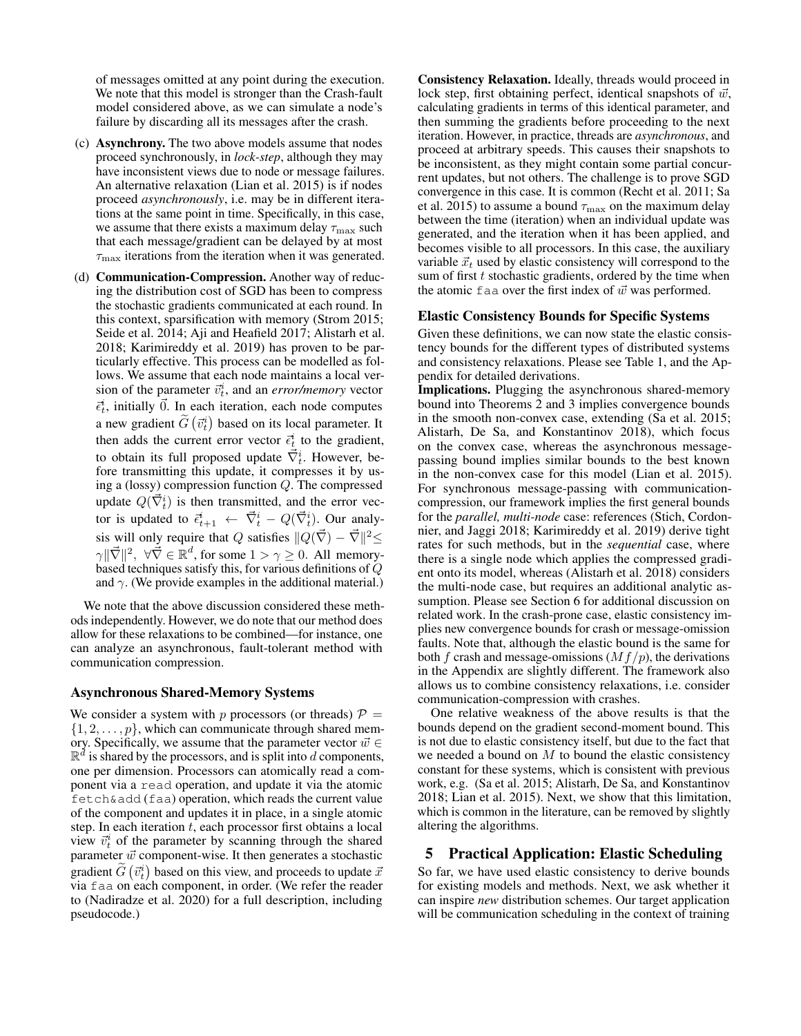of messages omitted at any point during the execution. We note that this model is stronger than the Crash-fault model considered above, as we can simulate a node's failure by discarding all its messages after the crash.

- (c) Asynchrony. The two above models assume that nodes proceed synchronously, in *lock-step*, although they may have inconsistent views due to node or message failures. An alternative relaxation (Lian et al. 2015) is if nodes proceed *asynchronously*, i.e. may be in different iterations at the same point in time. Specifically, in this case, we assume that there exists a maximum delay  $\tau_{\text{max}}$  such that each message/gradient can be delayed by at most  $\tau_{\text{max}}$  iterations from the iteration when it was generated.
- (d) Communication-Compression. Another way of reducing the distribution cost of SGD has been to compress the stochastic gradients communicated at each round. In this context, sparsification with memory (Strom 2015; Seide et al. 2014; Aji and Heafield 2017; Alistarh et al. 2018; Karimireddy et al. 2019) has proven to be particularly effective. This process can be modelled as follows. We assume that each node maintains a local version of the parameter  $\vec{v}_t^i$ , and an *error/memory* vector  $\vec{\epsilon}_t^i$ , initially  $\vec{0}$ . In each iteration, each node computes a new gradient  $\tilde{G}(\vec{v}_t^i)$  based on its local parameter. It then adds the current error vector  $\vec{\epsilon}_t^i$  to the gradient, to obtain its full proposed update  $\vec{\nabla}_{t}^{i}$ . However, before transmitting this update, it compresses it by using a (lossy) compression function Q. The compressed update  $Q(\vec{\nabla}_t^i)$  is then transmitted, and the error vector is updated to  $\vec{\epsilon}_{t+1}^i \leftarrow \vec{\nabla}_t^i - Q(\vec{\nabla}_t^i)$ . Our analysis will only require that Q satisfies  $||Q(\vec{\nabla}) - \vec{\nabla}||^2 \le$  $\|\nabla\|^2, \ \forall \vec{\nabla} \in \mathbb{R}^d$ , for some  $1 > \gamma \geq 0$ . All memorybased techniques satisfy this, for various definitions of  $\ddot{Q}$ and  $\gamma$ . (We provide examples in the additional material.)

We note that the above discussion considered these methods independently. However, we do note that our method does allow for these relaxations to be combined—for instance, one can analyze an asynchronous, fault-tolerant method with communication compression.

### Asynchronous Shared-Memory Systems

We consider a system with p processors (or threads)  $P =$  $\{1, 2, \ldots, p\}$ , which can communicate through shared memory. Specifically, we assume that the parameter vector  $\vec{w} \in$  $\mathbb{R}^d$  is shared by the processors, and is split into d components, one per dimension. Processors can atomically read a component via a read operation, and update it via the atomic fetch&add (faa) operation, which reads the current value of the component and updates it in place, in a single atomic step. In each iteration  $t$ , each processor first obtains a local view  $\vec{v}_t^i$  of the parameter by scanning through the shared parameter  $\vec{w}$  component-wise. It then generates a stochastic gradient  $\tilde{G}(\vec{v}_t^i)$  based on this view, and proceeds to update  $\vec{x}$ via faa on each component, in order. (We refer the reader to (Nadiradze et al. 2020) for a full description, including pseudocode.)

Consistency Relaxation. Ideally, threads would proceed in lock step, first obtaining perfect, identical snapshots of  $\vec{w}$ , calculating gradients in terms of this identical parameter, and then summing the gradients before proceeding to the next iteration. However, in practice, threads are *asynchronous*, and proceed at arbitrary speeds. This causes their snapshots to be inconsistent, as they might contain some partial concurrent updates, but not others. The challenge is to prove SGD convergence in this case. It is common (Recht et al. 2011; Sa et al. 2015) to assume a bound  $\tau_{\text{max}}$  on the maximum delay between the time (iteration) when an individual update was generated, and the iteration when it has been applied, and becomes visible to all processors. In this case, the auxiliary variable  $\vec{x}_t$  used by elastic consistency will correspond to the sum of first  $t$  stochastic gradients, ordered by the time when the atomic faa over the first index of  $\vec{w}$  was performed.

#### Elastic Consistency Bounds for Specific Systems

Given these definitions, we can now state the elastic consistency bounds for the different types of distributed systems and consistency relaxations. Please see Table 1, and the Appendix for detailed derivations.

Implications. Plugging the asynchronous shared-memory bound into Theorems 2 and 3 implies convergence bounds in the smooth non-convex case, extending (Sa et al. 2015; Alistarh, De Sa, and Konstantinov 2018), which focus on the convex case, whereas the asynchronous messagepassing bound implies similar bounds to the best known in the non-convex case for this model (Lian et al. 2015). For synchronous message-passing with communicationcompression, our framework implies the first general bounds for the *parallel, multi-node* case: references (Stich, Cordonnier, and Jaggi 2018; Karimireddy et al. 2019) derive tight rates for such methods, but in the *sequential* case, where there is a single node which applies the compressed gradient onto its model, whereas (Alistarh et al. 2018) considers the multi-node case, but requires an additional analytic assumption. Please see Section 6 for additional discussion on related work. In the crash-prone case, elastic consistency implies new convergence bounds for crash or message-omission faults. Note that, although the elastic bound is the same for both f crash and message-omissions  $(Mf/p)$ , the derivations in the Appendix are slightly different. The framework also allows us to combine consistency relaxations, i.e. consider communication-compression with crashes.

One relative weakness of the above results is that the bounds depend on the gradient second-moment bound. This is not due to elastic consistency itself, but due to the fact that we needed a bound on  $M$  to bound the elastic consistency constant for these systems, which is consistent with previous work, e.g. (Sa et al. 2015; Alistarh, De Sa, and Konstantinov 2018; Lian et al. 2015). Next, we show that this limitation, which is common in the literature, can be removed by slightly altering the algorithms.

### 5 Practical Application: Elastic Scheduling

So far, we have used elastic consistency to derive bounds for existing models and methods. Next, we ask whether it can inspire *new* distribution schemes. Our target application will be communication scheduling in the context of training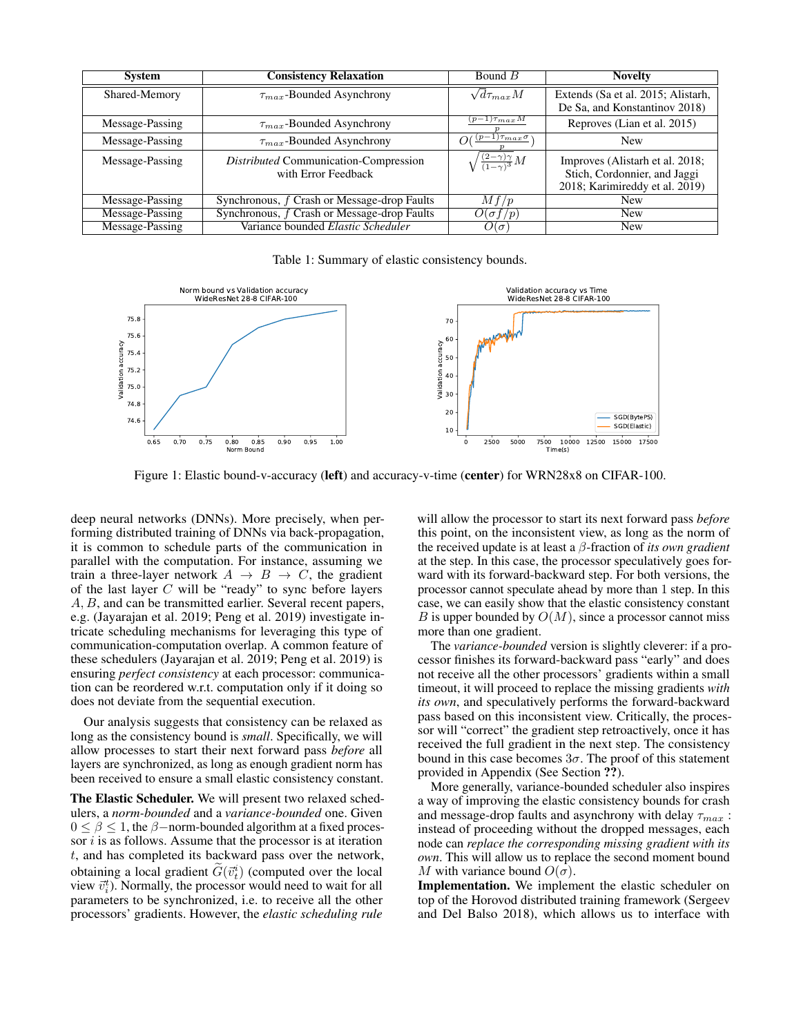| <b>System</b>   | <b>Consistency Relaxation</b>                                | Bound $B$                                             | <b>Novelty</b>                                                                                    |
|-----------------|--------------------------------------------------------------|-------------------------------------------------------|---------------------------------------------------------------------------------------------------|
| Shared-Memory   | $\tau_{max}$ -Bounded Asynchrony                             | $\sqrt{d\tau_{max}M}$                                 | Extends (Sa et al. 2015; Alistarh,<br>De Sa, and Konstantinov 2018)                               |
| Message-Passing | $\tau_{max}$ -Bounded Asynchrony                             | $(p-1)\tau_{max}M$                                    | Reproves (Lian et al. 2015)                                                                       |
| Message-Passing | $\tau_{max}$ -Bounded Asynchrony                             | $O\left(\frac{(p-1)\tau_{max} \sigma}{\sigma}\right)$ | <b>New</b>                                                                                        |
| Message-Passing | Distributed Communication-Compression<br>with Error Feedback | $\sqrt{\frac{(2-\gamma)\gamma}{(1-\gamma)^3}}M$       | Improves (Alistarh et al. 2018;<br>Stich, Cordonnier, and Jaggi<br>2018; Karimireddy et al. 2019) |
| Message-Passing | Synchronous, f Crash or Message-drop Faults                  | Mf/p                                                  | <b>New</b>                                                                                        |
| Message-Passing | Synchronous, f Crash or Message-drop Faults                  | $O(\sigma f/p)$                                       | <b>New</b>                                                                                        |
| Message-Passing | Variance bounded Elastic Scheduler                           | $O(\sigma)$                                           | <b>New</b>                                                                                        |

Table 1: Summary of elastic consistency bounds.



Figure 1: Elastic bound-v-accuracy (left) and accuracy-v-time (center) for WRN28x8 on CIFAR-100.

deep neural networks (DNNs). More precisely, when performing distributed training of DNNs via back-propagation, it is common to schedule parts of the communication in parallel with the computation. For instance, assuming we train a three-layer network  $A \rightarrow B \rightarrow C$ , the gradient of the last layer  $C$  will be "ready" to sync before layers A, B, and can be transmitted earlier. Several recent papers, e.g. (Jayarajan et al. 2019; Peng et al. 2019) investigate intricate scheduling mechanisms for leveraging this type of communication-computation overlap. A common feature of these schedulers (Jayarajan et al. 2019; Peng et al. 2019) is ensuring *perfect consistency* at each processor: communication can be reordered w.r.t. computation only if it doing so does not deviate from the sequential execution.

Our analysis suggests that consistency can be relaxed as long as the consistency bound is *small*. Specifically, we will allow processes to start their next forward pass *before* all layers are synchronized, as long as enough gradient norm has been received to ensure a small elastic consistency constant.

The Elastic Scheduler. We will present two relaxed schedulers, a *norm-bounded* and a *variance-bounded* one. Given  $0 \le \beta \le 1$ , the  $\beta$ -norm-bounded algorithm at a fixed processor  $i$  is as follows. Assume that the processor is at iteration t, and has completed its backward pass over the network, obtaining a local gradient  $\widetilde{G}(\vec{v}_t^i)$  (computed over the local<br>view  $\vec{x}$ ). Namelly, the greeness would need to unit for all view  $\vec{v}_i^t$ ). Normally, the processor would need to wait for all parameters to be synchronized, i.e. to receive all the other processors' gradients. However, the *elastic scheduling rule*

will allow the processor to start its next forward pass *before* this point, on the inconsistent view, as long as the norm of the received update is at least a β-fraction of *its own gradient* at the step. In this case, the processor speculatively goes forward with its forward-backward step. For both versions, the processor cannot speculate ahead by more than 1 step. In this case, we can easily show that the elastic consistency constant B is upper bounded by  $O(M)$ , since a processor cannot miss more than one gradient.

The *variance-bounded* version is slightly cleverer: if a processor finishes its forward-backward pass "early" and does not receive all the other processors' gradients within a small timeout, it will proceed to replace the missing gradients *with its own*, and speculatively performs the forward-backward pass based on this inconsistent view. Critically, the processor will "correct" the gradient step retroactively, once it has received the full gradient in the next step. The consistency bound in this case becomes  $3\sigma$ . The proof of this statement provided in Appendix (See Section ??).

More generally, variance-bounded scheduler also inspires a way of improving the elastic consistency bounds for crash and message-drop faults and asynchrony with delay  $\tau_{max}$ : instead of proceeding without the dropped messages, each node can *replace the corresponding missing gradient with its own*. This will allow us to replace the second moment bound M with variance bound  $O(\sigma)$ .

Implementation. We implement the elastic scheduler on top of the Horovod distributed training framework (Sergeev and Del Balso 2018), which allows us to interface with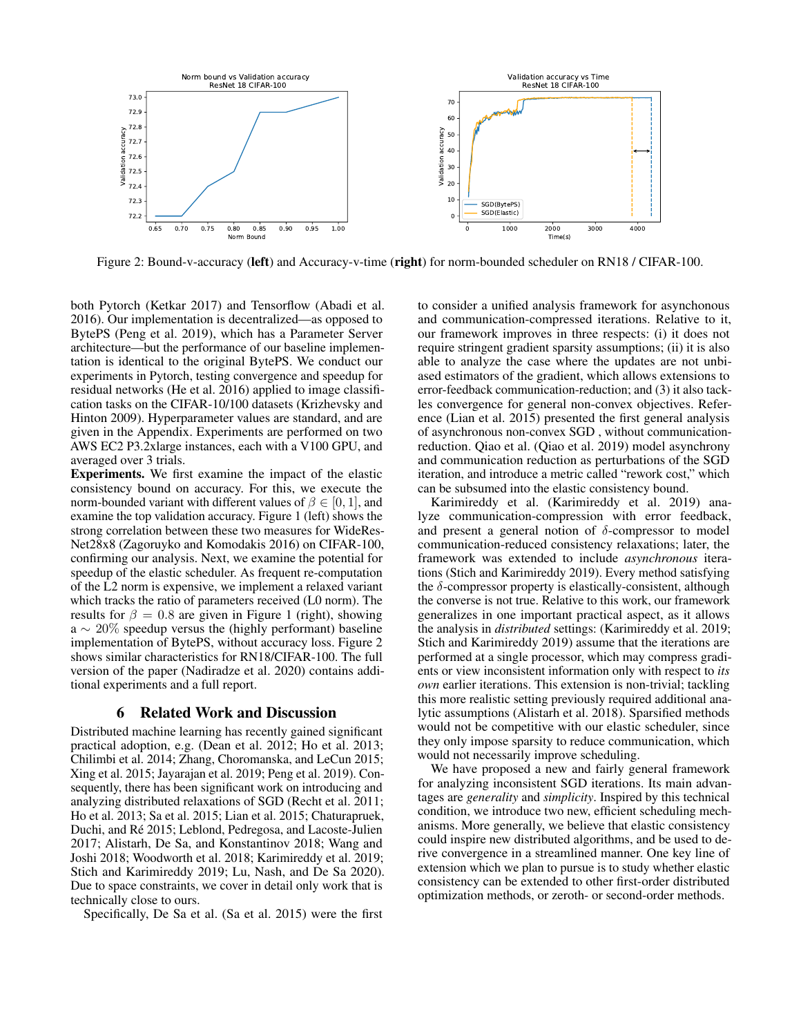

Figure 2: Bound-v-accuracy (left) and Accuracy-v-time (right) for norm-bounded scheduler on RN18 / CIFAR-100.

both Pytorch (Ketkar 2017) and Tensorflow (Abadi et al. 2016). Our implementation is decentralized—as opposed to BytePS (Peng et al. 2019), which has a Parameter Server architecture—but the performance of our baseline implementation is identical to the original BytePS. We conduct our experiments in Pytorch, testing convergence and speedup for residual networks (He et al. 2016) applied to image classification tasks on the CIFAR-10/100 datasets (Krizhevsky and Hinton 2009). Hyperparameter values are standard, and are given in the Appendix. Experiments are performed on two AWS EC2 P3.2xlarge instances, each with a V100 GPU, and averaged over 3 trials.

Experiments. We first examine the impact of the elastic consistency bound on accuracy. For this, we execute the norm-bounded variant with different values of  $\beta \in [0, 1]$ , and examine the top validation accuracy. Figure 1 (left) shows the strong correlation between these two measures for WideRes-Net28x8 (Zagoruyko and Komodakis 2016) on CIFAR-100, confirming our analysis. Next, we examine the potential for speedup of the elastic scheduler. As frequent re-computation of the L2 norm is expensive, we implement a relaxed variant which tracks the ratio of parameters received (L0 norm). The results for  $\beta = 0.8$  are given in Figure 1 (right), showing  $a \sim 20\%$  speedup versus the (highly performant) baseline implementation of BytePS, without accuracy loss. Figure 2 shows similar characteristics for RN18/CIFAR-100. The full version of the paper (Nadiradze et al. 2020) contains additional experiments and a full report.

# 6 Related Work and Discussion

Distributed machine learning has recently gained significant practical adoption, e.g. (Dean et al. 2012; Ho et al. 2013; Chilimbi et al. 2014; Zhang, Choromanska, and LeCun 2015; Xing et al. 2015; Jayarajan et al. 2019; Peng et al. 2019). Consequently, there has been significant work on introducing and analyzing distributed relaxations of SGD (Recht et al. 2011; Ho et al. 2013; Sa et al. 2015; Lian et al. 2015; Chaturapruek, Duchi, and Ré 2015; Leblond, Pedregosa, and Lacoste-Julien 2017; Alistarh, De Sa, and Konstantinov 2018; Wang and Joshi 2018; Woodworth et al. 2018; Karimireddy et al. 2019; Stich and Karimireddy 2019; Lu, Nash, and De Sa 2020). Due to space constraints, we cover in detail only work that is technically close to ours.

Specifically, De Sa et al. (Sa et al. 2015) were the first

to consider a unified analysis framework for asynchonous and communication-compressed iterations. Relative to it, our framework improves in three respects: (i) it does not require stringent gradient sparsity assumptions; (ii) it is also able to analyze the case where the updates are not unbiased estimators of the gradient, which allows extensions to error-feedback communication-reduction; and (3) it also tackles convergence for general non-convex objectives. Reference (Lian et al. 2015) presented the first general analysis of asynchronous non-convex SGD , without communicationreduction. Qiao et al. (Qiao et al. 2019) model asynchrony and communication reduction as perturbations of the SGD iteration, and introduce a metric called "rework cost," which can be subsumed into the elastic consistency bound.

Karimireddy et al. (Karimireddy et al. 2019) analyze communication-compression with error feedback, and present a general notion of  $\delta$ -compressor to model communication-reduced consistency relaxations; later, the framework was extended to include *asynchronous* iterations (Stich and Karimireddy 2019). Every method satisfying the  $\delta$ -compressor property is elastically-consistent, although the converse is not true. Relative to this work, our framework generalizes in one important practical aspect, as it allows the analysis in *distributed* settings: (Karimireddy et al. 2019; Stich and Karimireddy 2019) assume that the iterations are performed at a single processor, which may compress gradients or view inconsistent information only with respect to *its own* earlier iterations. This extension is non-trivial; tackling this more realistic setting previously required additional analytic assumptions (Alistarh et al. 2018). Sparsified methods would not be competitive with our elastic scheduler, since they only impose sparsity to reduce communication, which would not necessarily improve scheduling.

We have proposed a new and fairly general framework for analyzing inconsistent SGD iterations. Its main advantages are *generality* and *simplicity*. Inspired by this technical condition, we introduce two new, efficient scheduling mechanisms. More generally, we believe that elastic consistency could inspire new distributed algorithms, and be used to derive convergence in a streamlined manner. One key line of extension which we plan to pursue is to study whether elastic consistency can be extended to other first-order distributed optimization methods, or zeroth- or second-order methods.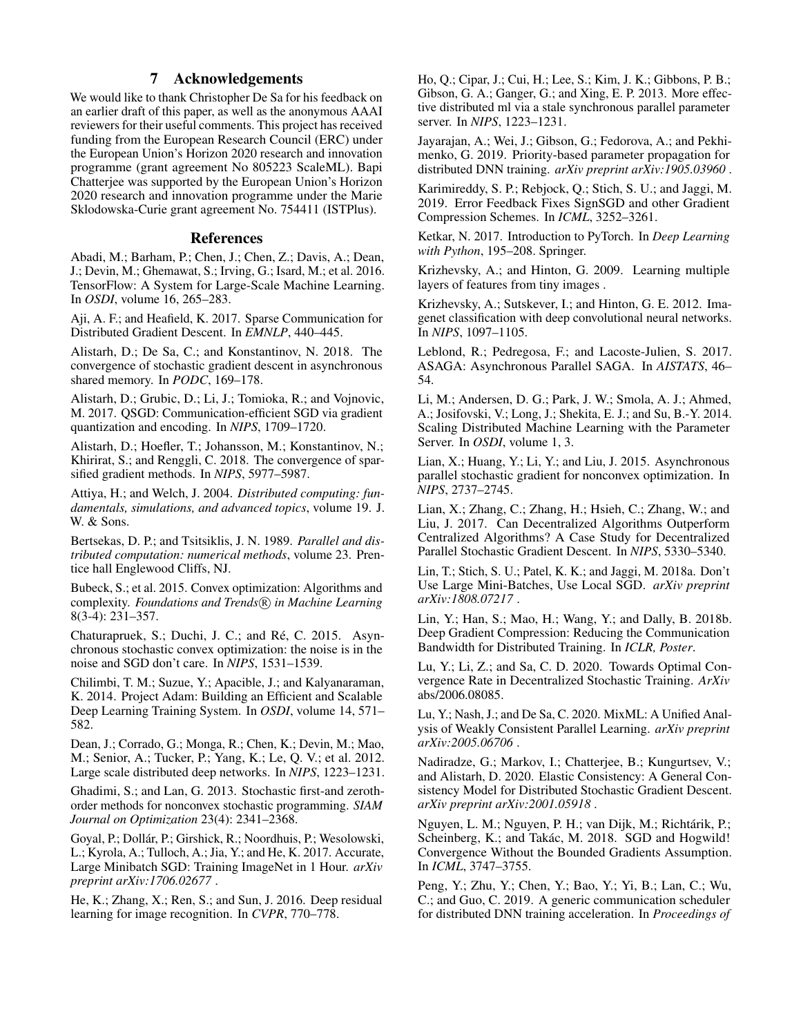# 7 Acknowledgements

We would like to thank Christopher De Sa for his feedback on an earlier draft of this paper, as well as the anonymous AAAI reviewers for their useful comments. This project has received funding from the European Research Council (ERC) under the European Union's Horizon 2020 research and innovation programme (grant agreement No 805223 ScaleML). Bapi Chatterjee was supported by the European Union's Horizon 2020 research and innovation programme under the Marie Sklodowska-Curie grant agreement No. 754411 (ISTPlus).

## References

Abadi, M.; Barham, P.; Chen, J.; Chen, Z.; Davis, A.; Dean, J.; Devin, M.; Ghemawat, S.; Irving, G.; Isard, M.; et al. 2016. TensorFlow: A System for Large-Scale Machine Learning. In *OSDI*, volume 16, 265–283.

Aji, A. F.; and Heafield, K. 2017. Sparse Communication for Distributed Gradient Descent. In *EMNLP*, 440–445.

Alistarh, D.; De Sa, C.; and Konstantinov, N. 2018. The convergence of stochastic gradient descent in asynchronous shared memory. In *PODC*, 169–178.

Alistarh, D.; Grubic, D.; Li, J.; Tomioka, R.; and Vojnovic, M. 2017. QSGD: Communication-efficient SGD via gradient quantization and encoding. In *NIPS*, 1709–1720.

Alistarh, D.; Hoefler, T.; Johansson, M.; Konstantinov, N.; Khirirat, S.; and Renggli, C. 2018. The convergence of sparsified gradient methods. In *NIPS*, 5977–5987.

Attiya, H.; and Welch, J. 2004. *Distributed computing: fundamentals, simulations, and advanced topics*, volume 19. J. W. & Sons.

Bertsekas, D. P.; and Tsitsiklis, J. N. 1989. *Parallel and distributed computation: numerical methods*, volume 23. Prentice hall Englewood Cliffs, NJ.

Bubeck, S.; et al. 2015. Convex optimization: Algorithms and complexity. *Foundations and Trends* (R) in Machine Learning 8(3-4): 231–357.

Chaturapruek, S.; Duchi, J. C.; and Ré, C. 2015. Asynchronous stochastic convex optimization: the noise is in the noise and SGD don't care. In *NIPS*, 1531–1539.

Chilimbi, T. M.; Suzue, Y.; Apacible, J.; and Kalyanaraman, K. 2014. Project Adam: Building an Efficient and Scalable Deep Learning Training System. In *OSDI*, volume 14, 571– 582.

Dean, J.; Corrado, G.; Monga, R.; Chen, K.; Devin, M.; Mao, M.; Senior, A.; Tucker, P.; Yang, K.; Le, Q. V.; et al. 2012. Large scale distributed deep networks. In *NIPS*, 1223–1231.

Ghadimi, S.; and Lan, G. 2013. Stochastic first-and zerothorder methods for nonconvex stochastic programming. *SIAM Journal on Optimization* 23(4): 2341–2368.

Goyal, P.; Dollár, P.; Girshick, R.; Noordhuis, P.; Wesolowski, L.; Kyrola, A.; Tulloch, A.; Jia, Y.; and He, K. 2017. Accurate, Large Minibatch SGD: Training ImageNet in 1 Hour. *arXiv preprint arXiv:1706.02677* .

He, K.; Zhang, X.; Ren, S.; and Sun, J. 2016. Deep residual learning for image recognition. In *CVPR*, 770–778.

Ho, Q.; Cipar, J.; Cui, H.; Lee, S.; Kim, J. K.; Gibbons, P. B.; Gibson, G. A.; Ganger, G.; and Xing, E. P. 2013. More effective distributed ml via a stale synchronous parallel parameter server. In *NIPS*, 1223–1231.

Jayarajan, A.; Wei, J.; Gibson, G.; Fedorova, A.; and Pekhimenko, G. 2019. Priority-based parameter propagation for distributed DNN training. *arXiv preprint arXiv:1905.03960* .

Karimireddy, S. P.; Rebjock, Q.; Stich, S. U.; and Jaggi, M. 2019. Error Feedback Fixes SignSGD and other Gradient Compression Schemes. In *ICML*, 3252–3261.

Ketkar, N. 2017. Introduction to PyTorch. In *Deep Learning with Python*, 195–208. Springer.

Krizhevsky, A.; and Hinton, G. 2009. Learning multiple layers of features from tiny images .

Krizhevsky, A.; Sutskever, I.; and Hinton, G. E. 2012. Imagenet classification with deep convolutional neural networks. In *NIPS*, 1097–1105.

Leblond, R.; Pedregosa, F.; and Lacoste-Julien, S. 2017. ASAGA: Asynchronous Parallel SAGA. In *AISTATS*, 46– 54.

Li, M.; Andersen, D. G.; Park, J. W.; Smola, A. J.; Ahmed, A.; Josifovski, V.; Long, J.; Shekita, E. J.; and Su, B.-Y. 2014. Scaling Distributed Machine Learning with the Parameter Server. In *OSDI*, volume 1, 3.

Lian, X.; Huang, Y.; Li, Y.; and Liu, J. 2015. Asynchronous parallel stochastic gradient for nonconvex optimization. In *NIPS*, 2737–2745.

Lian, X.; Zhang, C.; Zhang, H.; Hsieh, C.; Zhang, W.; and Liu, J. 2017. Can Decentralized Algorithms Outperform Centralized Algorithms? A Case Study for Decentralized Parallel Stochastic Gradient Descent. In *NIPS*, 5330–5340.

Lin, T.; Stich, S. U.; Patel, K. K.; and Jaggi, M. 2018a. Don't Use Large Mini-Batches, Use Local SGD. *arXiv preprint arXiv:1808.07217* .

Lin, Y.; Han, S.; Mao, H.; Wang, Y.; and Dally, B. 2018b. Deep Gradient Compression: Reducing the Communication Bandwidth for Distributed Training. In *ICLR, Poster*.

Lu, Y.; Li, Z.; and Sa, C. D. 2020. Towards Optimal Convergence Rate in Decentralized Stochastic Training. *ArXiv* abs/2006.08085.

Lu, Y.; Nash, J.; and De Sa, C. 2020. MixML: A Unified Analysis of Weakly Consistent Parallel Learning. *arXiv preprint arXiv:2005.06706* .

Nadiradze, G.; Markov, I.; Chatterjee, B.; Kungurtsev, V.; and Alistarh, D. 2020. Elastic Consistency: A General Consistency Model for Distributed Stochastic Gradient Descent. *arXiv preprint arXiv:2001.05918* .

Nguyen, L. M.; Nguyen, P. H.; van Dijk, M.; Richtárik, P.; Scheinberg, K.; and Takác, M. 2018. SGD and Hogwild! Convergence Without the Bounded Gradients Assumption. In *ICML*, 3747–3755.

Peng, Y.; Zhu, Y.; Chen, Y.; Bao, Y.; Yi, B.; Lan, C.; Wu, C.; and Guo, C. 2019. A generic communication scheduler for distributed DNN training acceleration. In *Proceedings of*